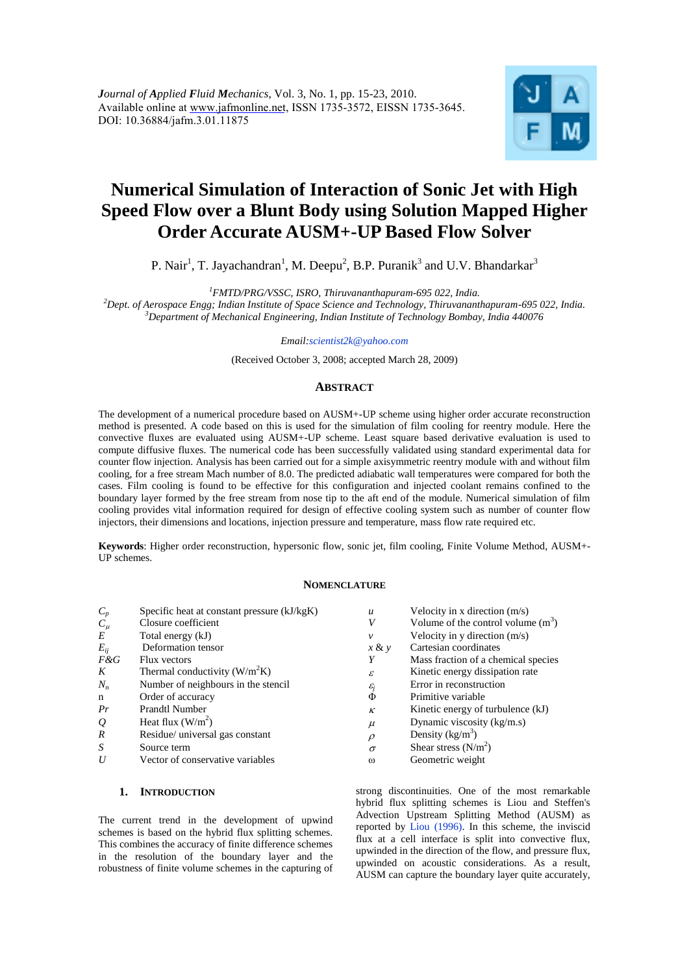

# **Numerical Simulation of Interaction of Sonic Jet with High Speed Flow over a Blunt Body using Solution Mapped Higher Order Accurate AUSM+-UP Based Flow Solver**

## P. Nair<sup>1</sup>, T. Jayachandran<sup>1</sup>, M. Deepu<sup>2</sup>, B.P. Puranik<sup>3</sup> and U.V. Bhandarkar<sup>3</sup>

*<sup>1</sup>FMTD/PRG/VSSC, ISRO, Thiruvananthapuram-695 022, India.*

*<sup>2</sup>Dept. of Aerospace Engg; Indian Institute of Space Science and Technology, Thiruvananthapuram-695 022, India. <sup>3</sup>Department of Mechanical Engineering, Indian Institute of Technology Bombay, India 440076*

*Email:scientist2k@yahoo.com*

(Received October 3, 2008; accepted March 28, 2009)

## **ABSTRACT**

The development of a numerical procedure based on AUSM+-UP scheme using higher order accurate reconstruction method is presented. A code based on this is used for the simulation of film cooling for reentry module. Here the convective fluxes are evaluated using AUSM+-UP scheme. Least square based derivative evaluation is used to compute diffusive fluxes. The numerical code has been successfully validated using standard experimental data for counter flow injection. Analysis has been carried out for a simple axisymmetric reentry module with and without film cooling, for a free stream Mach number of 8.0. The predicted adiabatic wall temperatures were compared for both the cases. Film cooling is found to be effective for this configuration and injected coolant remains confined to the boundary layer formed by the free stream from nose tip to the aft end of the module. Numerical simulation of film cooling provides vital information required for design of effective cooling system such as number of counter flow injectors, their dimensions and locations, injection pressure and temperature, mass flow rate required etc.

**Keywords**: Higher order reconstruction, hypersonic flow, sonic jet, film cooling, Finite Volume Method, AUSM+-UP schemes.

#### **NOMENCLATURE**

| $C_p$            | Specific heat at constant pressure (kJ/kgK) | $\boldsymbol{u}$  | Velocity in x direction $(m/s)$     |
|------------------|---------------------------------------------|-------------------|-------------------------------------|
| $C_\mu$          | Closure coefficient                         | V                 | Volume of the control volume $(m3)$ |
| $E_{\rm}$        | Total energy (kJ)                           | $\mathcal V$      | Velocity in y direction (m/s)       |
| $E_{ii}$         | Deformation tensor                          | $x \& y$          | Cartesian coordinates               |
| $F\&G$           | Flux vectors                                | Y                 | Mass fraction of a chemical species |
| K                | Thermal conductivity $(W/m2K)$              | $\mathcal{E}$     | Kinetic energy dissipation rate     |
| $N_n$            | Number of neighbours in the stencil         | $\varepsilon_{i}$ | Error in reconstruction             |
| n                | Order of accuracy                           | Φ                 | Primitive variable                  |
| Pr               | <b>Prandtl Number</b>                       | $\kappa$          | Kinetic energy of turbulence (kJ)   |
| $\varrho$        | Heat flux $(W/m^2)$                         | $\mu$             | Dynamic viscosity (kg/m.s)          |
| $\boldsymbol{R}$ | Residue/ universal gas constant             | $\rho$            | Density $(kg/m^3)$                  |
| S                | Source term                                 | $\sigma$          | Shear stress $(N/m2)$               |
| U                | Vector of conservative variables            | $\omega$          | Geometric weight                    |
|                  |                                             |                   |                                     |

## **1. INTRODUCTION**

The current trend in the development of upwind schemes is based on the hybrid flux splitting schemes. This combines the accuracy of finite difference schemes in the resolution of the boundary layer and the robustness of finite volume schemes in the capturing of

strong discontinuities. One of the most remarkable hybrid flux splitting schemes is Liou and Steffen's Advection Upstream Splitting Method (AUSM) as reported by Liou (1996). In this scheme, the inviscid flux at a cell interface is split into convective flux, upwinded in the direction of the flow, and pressure flux, upwinded on acoustic considerations. As a result, AUSM can capture the boundary layer quite accurately,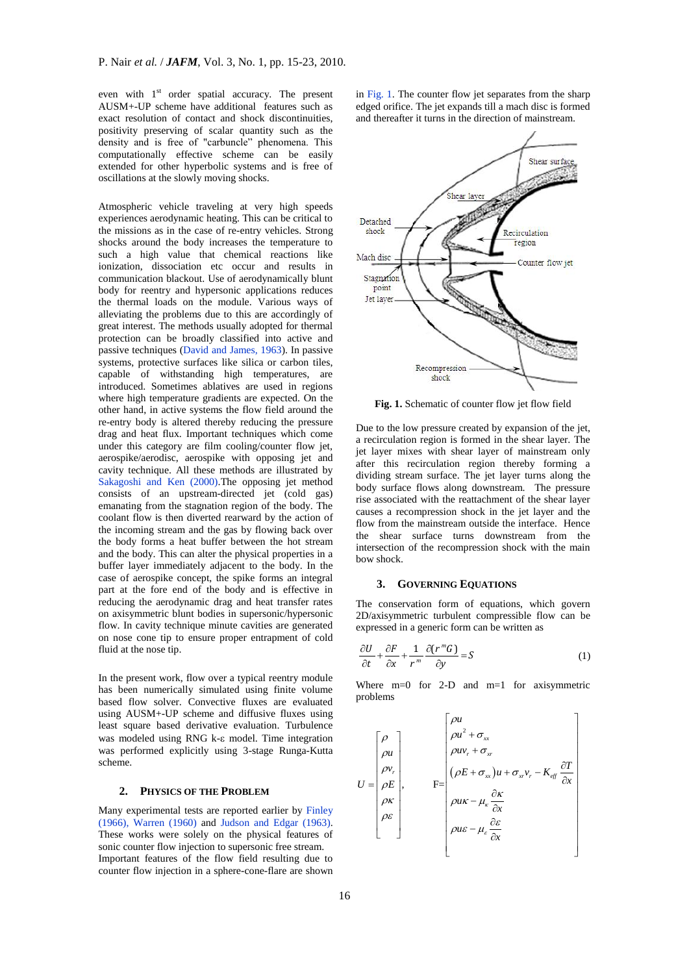even with  $1<sup>st</sup>$  order spatial accuracy. The present AUSM+-UP scheme have additional features such as exact resolution of contact and shock discontinuities, positivity preserving of scalar quantity such as the density and is free of "carbuncle" phenomena. This computationally effective scheme can be easily extended for other hyperbolic systems and is free of oscillations at the slowly moving shocks.

Atmospheric vehicle traveling at very high speeds experiences aerodynamic heating. This can be critical to the missions as in the case of re-entry vehicles. Strong shocks around the body increases the temperature to such a high value that chemical reactions like ionization, dissociation etc occur and results in communication blackout. Use of aerodynamically blunt body for reentry and hypersonic applications reduces the thermal loads on the module. Various ways of alleviating the problems due to this are accordingly of great interest. The methods usually adopted for thermal protection can be broadly classified into active and passive techniques (David and James, 1963). In passive systems, protective surfaces like silica or carbon tiles, capable of withstanding high temperatures, are introduced. Sometimes ablatives are used in regions where high temperature gradients are expected. On the other hand, in active systems the flow field around the re-entry body is altered thereby reducing the pressure drag and heat flux. Important techniques which come under this category are film cooling/counter flow jet, aerospike/aerodisc, aerospike with opposing jet and cavity technique. All these methods are illustrated by Sakagoshi and Ken (2000).The opposing jet method consists of an upstream-directed jet (cold gas) emanating from the stagnation region of the body. The coolant flow is then diverted rearward by the action of the incoming stream and the gas by flowing back over the body forms a heat buffer between the hot stream and the body. This can alter the physical properties in a buffer layer immediately adjacent to the body. In the case of aerospike concept, the spike forms an integral part at the fore end of the body and is effective in reducing the aerodynamic drag and heat transfer rates on axisymmetric blunt bodies in supersonic/hypersonic flow. In cavity technique minute cavities are generated on nose cone tip to ensure proper entrapment of cold fluid at the nose tip.

In the present work, flow over a typical reentry module has been numerically simulated using finite volume based flow solver. Convective fluxes are evaluated using AUSM+-UP scheme and diffusive fluxes using least square based derivative evaluation. Turbulence was modeled using RNG  $k$ - $\varepsilon$  model. Time integration was performed explicitly using 3-stage Runga-Kutta scheme.

### **2. PHYSICS OF THE PROBLEM**

Many experimental tests are reported earlier by Finley (1966), Warren (1960) and Judson and Edgar (1963). These works were solely on the physical features of sonic counter flow injection to supersonic free stream. Important features of the flow field resulting due to counter flow injection in a sphere-cone-flare are shown

in Fig. 1. The counter flow jet separates from the sharp edged orifice. The jet expands till a mach disc is formed and thereafter it turns in the direction of mainstream.



**Fig. 1.** Schematic of counter flow jet flow field

Due to the low pressure created by expansion of the jet, a recirculation region is formed in the shear layer. The jet layer mixes with shear layer of mainstream only after this recirculation region thereby forming a dividing stream surface. The jet layer turns along the body surface flows along downstream. The pressure rise associated with the reattachment of the shear layer causes a recompression shock in the jet layer and the flow from the mainstream outside the interface. Hence the shear surface turns downstream from the intersection of the recompression shock with the main bow shock.

#### **3. GOVERNING EQUATIONS**

The conservation form of equations, which govern 2D/axisymmetric turbulent compressible flow can be expressed in a generic form can be written as

$$
\frac{\partial U}{\partial t} + \frac{\partial F}{\partial x} + \frac{1}{r^m} \frac{\partial (r^m G)}{\partial y} = S \tag{1}
$$

Where m=0 for 2-D and m=1 for axisymmetric problems

$$
U = \begin{bmatrix} \rho \\ \rho u \\ \rho v_r \\ \rho \kappa \\ \rho \kappa \\ \rho \epsilon \\ \rho \epsilon \end{bmatrix}, \qquad F = \begin{bmatrix} \rho u \\ \rho u^2 + \sigma_{xx} \\ \rho u v_r + \sigma_{xx} \\ (\rho E + \sigma_{xx}) u + \sigma_{xy} v_r - K_{eff} \frac{\partial T}{\partial x} \\ \rho u \kappa - \mu_{\kappa} \frac{\partial \kappa}{\partial x} \\ \rho u \kappa - \mu_{\kappa} \frac{\partial \kappa}{\partial x} \\ \rho u \epsilon - \mu_{\kappa} \frac{\partial \epsilon}{\partial x}
$$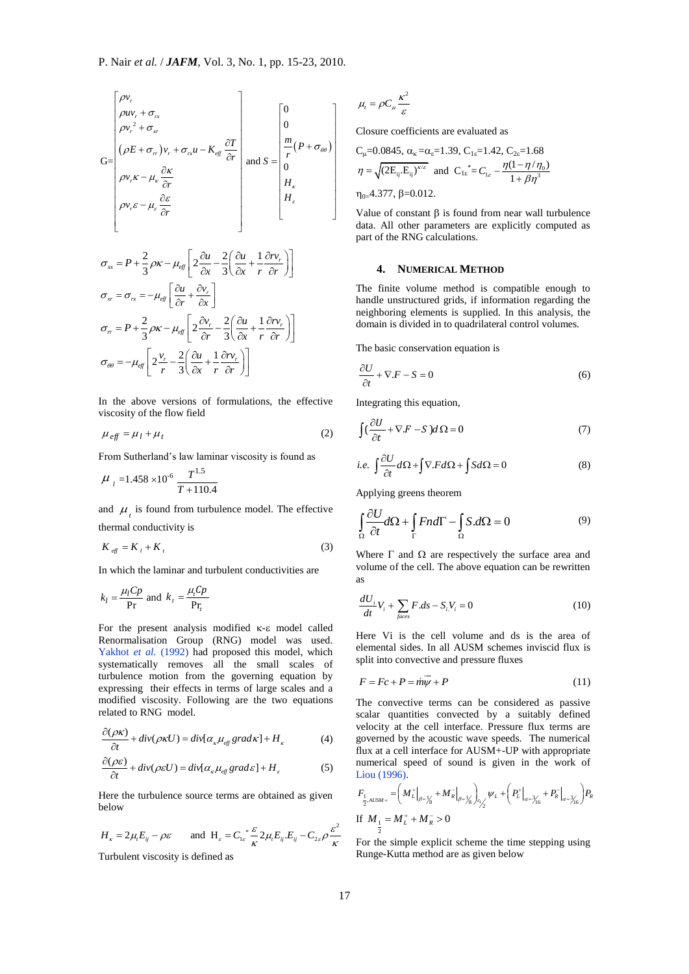$$
G = \begin{bmatrix} \rho v_r \\ \rho u v_r + \sigma_{rx} \\ \rho v_r^2 + \sigma_{xr} \\ (\rho E + \sigma_{rr})v_r + \sigma_{rx} u - K_{eff} \frac{\partial T}{\partial r} \\ \rho v_r \kappa - \mu_{\kappa} \frac{\partial \kappa}{\partial r} \\ \rho v_r \varepsilon - \mu_{\varepsilon} \frac{\partial \varepsilon}{\partial r} \\ \rho v_r \varepsilon - \mu_{\varepsilon} \frac{\partial \varepsilon}{\partial r} \end{bmatrix} \text{ and } S = \begin{bmatrix} 0 \\ 0 \\ \frac{m}{r} (P + \sigma_{\theta \theta}) \\ H_{\kappa} \\ H_{\kappa} \\ H_{\kappa} \\ \rho v_{\kappa} \end{bmatrix} \quad \text{T} \quad \mathbf{q} \quad \mathbf{q} \quad \mathbf{q} \quad \mathbf{q} \quad \mathbf{q} \quad \mathbf{q} \quad \mathbf{q} \quad \mathbf{q} \quad \mathbf{q} \quad \mathbf{q} \quad \mathbf{q} \quad \mathbf{q} \quad \mathbf{q} \quad \mathbf{q} \quad \mathbf{q} \quad \mathbf{q} \quad \mathbf{q} \quad \mathbf{q} \quad \mathbf{q} \quad \mathbf{q} \quad \mathbf{q} \quad \mathbf{q} \quad \mathbf{q} \quad \mathbf{q} \quad \mathbf{q} \quad \mathbf{q} \quad \mathbf{q} \quad \mathbf{q} \quad \mathbf{q} \quad \mathbf{q} \quad \mathbf{q} \quad \mathbf{q} \quad \mathbf{q} \quad \mathbf{q} \quad \mathbf{q} \quad \mathbf{q} \quad \mathbf{q} \quad \mathbf{q} \quad \mathbf{q} \quad \mathbf{q} \quad \mathbf{q} \quad \mathbf{q} \quad \mathbf{q} \quad \mathbf{q} \quad \mathbf{q} \quad \mathbf{q} \quad \mathbf{q} \quad \mathbf{q} \quad \mathbf{q} \quad \mathbf{q} \quad \mathbf{q} \quad \mathbf{q} \quad \mathbf{q} \quad \mathbf{q} \quad \mathbf{q} \quad \mathbf{q} \quad \mathbf{q} \quad \mathbf{q} \quad \mathbf{q} \quad \mathbf{q} \quad \mathbf{q} \quad \mathbf{q} \quad \mathbf{q} \quad \mathbf{q} \
$$

In the above versions of formulations, the effective viscosity of the flow field

$$
\mu_{\text{eff}} = \mu_l + \mu_t \tag{2}
$$

From Sutherland's law laminar viscosity is found as

$$
\mu_{l} = 1.458 \times 10^{-6} \frac{T^{1.5}}{T + 110.4}
$$

and  $\mu$ <sub>t</sub> is found from turbulence model. The effective thermal conductivity is

$$
K_{\text{eff}} = K_{l} + K_{t} \tag{3}
$$

In which the laminar and turbulent conductivities are

$$
k_l = \frac{\mu_l C p}{\text{Pr}} \text{ and } k_t = \frac{\mu_t C p}{\text{Pr}_t}
$$

For the present analysis modified  $\kappa$ - $\varepsilon$  model called Renormalisation Group (RNG) model was used. Yakhot et al. (1992) had proposed this model, which systematically removes all the small scales of turbulence motion from the governing equation by expressing their effects in terms of large scales and a modified viscosity. Following are the two equations related to RNG model.

$$
\frac{\partial(\rho \kappa)}{\partial t} + \text{div}(\rho \kappa U) = \text{div}[\alpha_{\kappa} \mu_{\text{eff}} \text{grad}\kappa] + H_{\kappa}
$$
 (4)

$$
\frac{\partial(\rho \varepsilon)}{\partial t} + \text{div}(\rho \varepsilon U) = \text{div}[\alpha_{\kappa} \mu_{\text{eff}} \text{grad} \varepsilon] + H_{\varepsilon}
$$
 (5)

Here the turbulence source terms are obtained as given below

below  
\n
$$
H_{\kappa} = 2\mu_{\kappa}E_{ij} - \rho\varepsilon \quad \text{and} \quad H_{\varepsilon} = C_{1\varepsilon} \frac{\varepsilon}{\kappa} 2\mu_{\kappa}E_{ij}E_{ij} - C_{2\varepsilon}\rho \frac{\varepsilon^2}{\kappa} \quad \text{If} \quad
$$

Turbulent viscosity is defined as

$$
\mu_t = \rho C_\mu \frac{\kappa^2}{\varepsilon}
$$

Closure coefficients are evaluated as

$$
C_{\mu}=0.0845, \alpha_{\kappa}=\alpha_{\varepsilon}=1.39, C_{1\varepsilon}=1.42, C_{2\varepsilon}=1.68
$$
  
\n
$$
\eta = \sqrt{(2E_{ij} \cdot E_{ij})^{\kappa/\varepsilon}} \text{ and } C_{1\varepsilon}^* = C_{1\varepsilon} - \frac{\eta(1-\eta/\eta_0)}{1+\beta\eta^3}
$$
  
\n
$$
\eta_{0}=4.377, \beta=0.012.
$$

Value of constant  $\beta$  is found from near wall turbulence data. All other parameters are explicitly computed as part of the RNG calculations.

#### **4. NUMERICAL METHOD**

The finite volume method is compatible enough to handle unstructured grids, if information regarding the neighboring elements is supplied. In this analysis, the domain is divided in to quadrilateral control volumes.

The basic conservation equation is

$$
\frac{\partial U}{\partial t} + \nabla \cdot F - S = 0 \tag{6}
$$

Integrating this equation,

$$
\int \left(\frac{\partial U}{\partial t} + \nabla F - S\right) d\Omega = 0\tag{7}
$$

i.e. 
$$
\int \frac{\partial U}{\partial t} d\Omega + \int \nabla F d\Omega + \int S d\Omega = 0
$$
 (8)

Applying greens theorem

$$
\int_{\Omega} \frac{\partial U}{\partial t} d\Omega + \int_{\Gamma} F n d\Gamma - \int_{\Omega} S d\Omega = 0
$$
 (9)

Where  $\Gamma$  and  $\Omega$  are respectively the surface area and volume of the cell. The above equation can be rewritten as

$$
\frac{dU_i}{dt}V_i + \sum_{faces} F.ds - S_i V_i = 0
$$
\n(10)

Here Vi is the cell volume and ds is the area of elemental sides. In all AUSM schemes inviscid flux is split into convective and pressure fluxes

$$
F = Fc + P = \overrightarrow{m}\overrightarrow{\psi} + P \tag{11}
$$

The convective terms can be considered as passive scalar quantities convected by a suitably defined velocity at the cell interface. Pressure flux terms are governed by the acoustic wave speeds. The numerical flux at a cell interface for AUSM+-UP with appropriate numerical speed of sound is given in the work of Liou (1996).

Liou (1996).

\n
$$
F_{\frac{1}{2},AUSM+} = \left( M_L^+ \Big|_{\beta = \frac{1}{2}} + M_R^- \Big|_{\beta = \frac{1}{2}} \right)_{0/2} \psi_L + \left( P_L^+ \Big|_{\alpha = \frac{3}{2} \left( 6 \right)} + P_R^- \Big|_{\alpha = \frac{3}{2} \left( 6 \right)} \right) P_R
$$
\nIf  $M_{\frac{1}{2}} = M_L^+ + M_R^- > 0$ 

For the simple explicit scheme the time stepping using Runge-Kutta method are as given below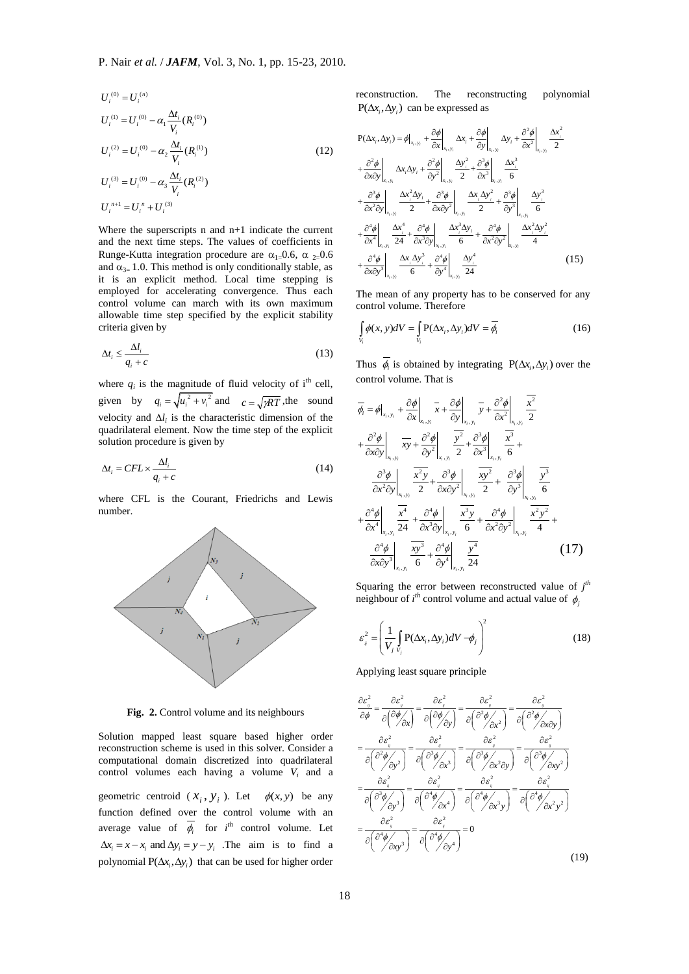$$
U_i^{(0)} = U_i^{(n)}
$$
  
\n
$$
U_i^{(1)} = U_i^{(0)} - \alpha_1 \frac{\Delta t_i}{V_i} (R_i^{(0)})
$$
  
\n
$$
U_i^{(2)} = U_i^{(0)} - \alpha_2 \frac{\Delta t_i}{V_i} (R_i^{(1)})
$$
  
\n
$$
U_i^{(3)} = U_i^{(0)} - \alpha_3 \frac{\Delta t_i}{V_i} (R_i^{(2)})
$$
  
\n
$$
U_i^{n+1} = U_i^n + U_i^{(3)}
$$
 (12)

Where the superscripts n and n+1 indicate the current and the next time steps. The values of coefficients in Runge-Kutta integration procedure are  $\alpha_{1=0.6}$ ,  $\alpha_{2=0.6}$ and  $\alpha_{3=}$  1.0. This method is only conditionally stable, as it is an explicit method. Local time stepping is employed for accelerating convergence. Thus each control volume can march with its own maximum allowable time step specified by the explicit stability criteria given by

$$
\Delta t_i \le \frac{\Delta l_i}{q_i + c} \tag{13}
$$

where  $q_i$  is the magnitude of fluid velocity of i<sup>th</sup> cell, given by  $q_i = \sqrt{u_i^2 + v_i^2}$  and  $c = \sqrt{pRT}$ , the sound velocity and  $\Delta l_i$  is the characteristic dimension of the quadrilateral element. Now the time step of the explicit solution procedure is given by

$$
\Delta t_i = CFL \times \frac{\Delta l_i}{q_i + c} \tag{14}
$$

where CFL is the Courant, Friedrichs and Lewis number.



**Fig. 2.** Control volume and its neighbours

Solution mapped least square based higher order reconstruction scheme is used in this solver. Consider a computational domain discretized into quadrilateral control volumes each having a volume *V<sup>i</sup>* and a

geometric centroid  $(x_i, y_i)$ . Let  $\phi(x, y)$  be any function defined over the control volume with an average value of  $\overline{\phi}_i$  for *i*<sup>th</sup> control volume. Let  $\Delta x_i = x - x_i$  and  $\Delta y_i = y - y_i$ . The aim is to find a polynomial  $P(\Delta x_i, \Delta y_i)$  that can be used for higher order

reconstruction. The reconstructing polynomial  $P(\Delta x_i, \Delta y_i)$  can be expressed as

$$
P(\Delta x_{i}, \Delta y_{i}) = \phi|_{x_{i}, y_{i}} + \frac{\partial \phi}{\partial x}\Big|_{x_{i}, y_{i}} \Delta x_{i} + \frac{\partial \phi}{\partial y}\Big|_{x_{i}, y_{i}} \Delta y_{i} + \frac{\partial^{2} \phi}{\partial x^{2}}\Big|_{x_{i}, y_{i}} \frac{\Delta x_{i}^{2}}{2} + \frac{\partial^{2} \phi}{\partial x \partial y}\Big|_{x_{i}, y_{i}} \Delta x_{i} \Delta y_{i} + \frac{\partial^{2} \phi}{\partial y^{2}}\Big|_{x_{i}, y_{i}} \frac{\Delta y_{i}^{2}}{2} + \frac{\partial^{3} \phi}{\partial x^{3}}\Big|_{x_{i}, y_{i}} \frac{\Delta x_{i}^{3}}{6} + \frac{\partial^{3} \phi}{\partial x^{2} \partial y}\Big|_{x_{i}, y_{i}} \frac{\Delta x_{i}^{2} \Delta y_{i}}{2} + \frac{\partial^{3} \phi}{\partial x \partial y^{2}}\Big|_{x_{i}, y_{i}} \frac{\Delta x_{i} \Delta y_{i}^{2}}{2} + \frac{\partial^{3} \phi}{\partial y^{3}}\Big|_{x_{i}, y_{i}} \frac{\Delta y_{i}^{3}}{6} + \frac{\partial^{4} \phi}{\partial x^{4}}\Big|_{x_{i}, y_{i}} \frac{\Delta x_{i}^{4}}{24} + \frac{\partial^{4} \phi}{\partial x^{3} \partial y}\Big|_{x_{i}, y_{i}} \frac{\Delta x_{i}^{3} \Delta y_{i}}{6} + \frac{\partial^{4} \phi}{\partial x^{2} \partial y^{2}}\Big|_{x_{i}, y_{i}} \frac{\Delta x_{i}^{2} \Delta y_{i}^{2}}{4} + \frac{\partial^{4} \phi}{\partial x \partial y^{3}}\Big|_{x_{i}, y_{i}} \frac{\Delta x_{i} \Delta y_{i}^{3}}{6} + \frac{\partial^{4} \phi}{\partial y^{4}}\Big|_{x_{i}, y_{i}} \frac{\Delta y_{i}^{4}}{24}
$$
(15)

The mean of any property has to be conserved for any control volume. Therefore

$$
\int_{V_i} \phi(x, y)dV = \int_{V_i} P(\Delta x_i, \Delta y_i)dV = \overline{\phi_i}
$$
\n(16)

Thus  $\phi_i$  is obtained by integrating  $P(\Delta x_i, \Delta y_i)$  over the control volume. That is

$$
\overline{\phi}_{i} = \phi|_{x_{i}, y_{i}} + \frac{\partial \phi}{\partial x}\Big|_{x_{i}, y_{i}} \overline{x} + \frac{\partial \phi}{\partial y}\Big|_{x_{i}, y_{i}} \overline{y} + \frac{\partial^{2} \phi}{\partial x^{2}}\Big|_{x_{i}, y_{i}} \frac{\overline{x^{2}}}{2}
$$
\n
$$
+ \frac{\partial^{2} \phi}{\partial x \partial y}\Big|_{x_{i}, y_{i}} \frac{\overline{xy}}{\overline{xy}} + \frac{\partial^{2} \phi}{\partial y^{2}}\Big|_{x_{i}, y_{i}} \frac{\overline{y^{2}}}{2} + \frac{\partial^{3} \phi}{\partial x^{3}}\Big|_{x_{i}, y_{i}} \frac{\overline{x^{3}}}{6} + \frac{\partial^{3} \phi}{\partial x^{2} \partial y}\Big|_{x_{i}, y_{i}} \frac{\overline{x^{2}} y}{2} + \frac{\partial^{3} \phi}{\partial x \partial y^{2}}\Big|_{x_{i}, y_{i}} \frac{\overline{x^{3}}}{2} + \frac{\partial^{3} \phi}{\partial y^{3}}\Big|_{x_{i}, y_{i}} \frac{\overline{x^{3}}}{6}
$$
\n
$$
+ \frac{\partial^{4} \phi}{\partial x^{4}}\Big|_{x_{i}, y_{i}} \frac{\overline{x^{4}}}{24} + \frac{\partial^{4} \phi}{\partial x^{3} \partial y}\Big|_{x_{i}, y_{i}} \frac{\overline{x^{3}} y}{6} + \frac{\partial^{4} \phi}{\partial x^{2} \partial y^{2}}\Big|_{x_{i}, y_{i}} \frac{\overline{x^{2}} y^{2}}{4} + \frac{\partial^{4} \phi}{\partial x \partial y^{3}}\Big|_{x_{i}, y_{i}} \frac{\overline{x^{3}}}{6} + \frac{\partial^{4} \phi}{\partial y^{4}}\Big|_{x_{i}, y_{i}} \frac{\overline{y^{4}}}{24}
$$
\n(17)

Squaring the error between reconstructed value of  $j<sup>th</sup>$ neighbour of  $i^{th}$  control volume and actual value of  $\phi_j$ 

$$
\varepsilon_{ij}^2 = \left(\frac{1}{V_j} \int_{V_j} P(\Delta x_i, \Delta y_i) dV - \phi_j\right)^2
$$
 (18)

Applying least square principle

$$
\frac{\partial \varepsilon_{\theta}^{2}}{\partial \phi} = \frac{\partial \varepsilon_{\theta}^{2}}{\partial (\frac{\partial \phi}{\partial x})} = \frac{\partial \varepsilon_{\theta}^{2}}{\partial (\frac{\partial \phi}{\partial y})} = \frac{\partial \varepsilon_{\theta}^{2}}{\partial (\frac{\partial \phi}{\partial x})} = \frac{\partial \varepsilon_{\theta}^{2}}{\partial (\frac{\partial \phi}{\partial x})} = \frac{\partial \varepsilon_{\theta}^{2}}{\partial (\frac{\partial \phi}{\partial x})}
$$
\n
$$
= \frac{\partial \varepsilon_{\theta}^{2}}{\partial (\frac{\partial \phi}{\partial y})} = \frac{\partial \varepsilon_{\theta}^{2}}{\partial (\frac{\partial \phi}{\partial x})} = \frac{\partial \varepsilon_{\theta}^{2}}{\partial (\frac{\partial \phi}{\partial x})} = \frac{\partial \varepsilon_{\theta}^{2}}{\partial (\frac{\partial \phi}{\partial x})} = \frac{\partial \varepsilon_{\theta}^{2}}{\partial (\frac{\partial \phi}{\partial x})}
$$
\n
$$
= \frac{\partial \varepsilon_{\theta}^{2}}{\partial (\frac{\partial \phi}{\partial y})} = \frac{\partial \varepsilon_{\theta}^{2}}{\partial (\frac{\partial \phi}{\partial x})} = \frac{\partial \varepsilon_{\theta}^{2}}{\partial (\frac{\partial \phi}{\partial x})} = \frac{\partial \varepsilon_{\theta}^{2}}{\partial (\frac{\partial \phi}{\partial x})} = \frac{\partial \varepsilon_{\theta}^{2}}{\partial (\frac{\partial \phi}{\partial x})} = \frac{\partial \varepsilon_{\theta}^{2}}{\partial (\frac{\partial \phi}{\partial x})} = \frac{\partial \varepsilon_{\theta}^{2}}{\partial (\frac{\partial \phi}{\partial x})} = 0
$$
\n
$$
= \frac{\partial \varepsilon_{\theta}^{2}}{\partial (\frac{\partial \phi}{\partial x})} = \frac{\partial \varepsilon_{\theta}^{2}}{\partial (\frac{\partial \phi}{\partial x})} = 0
$$
\n(19)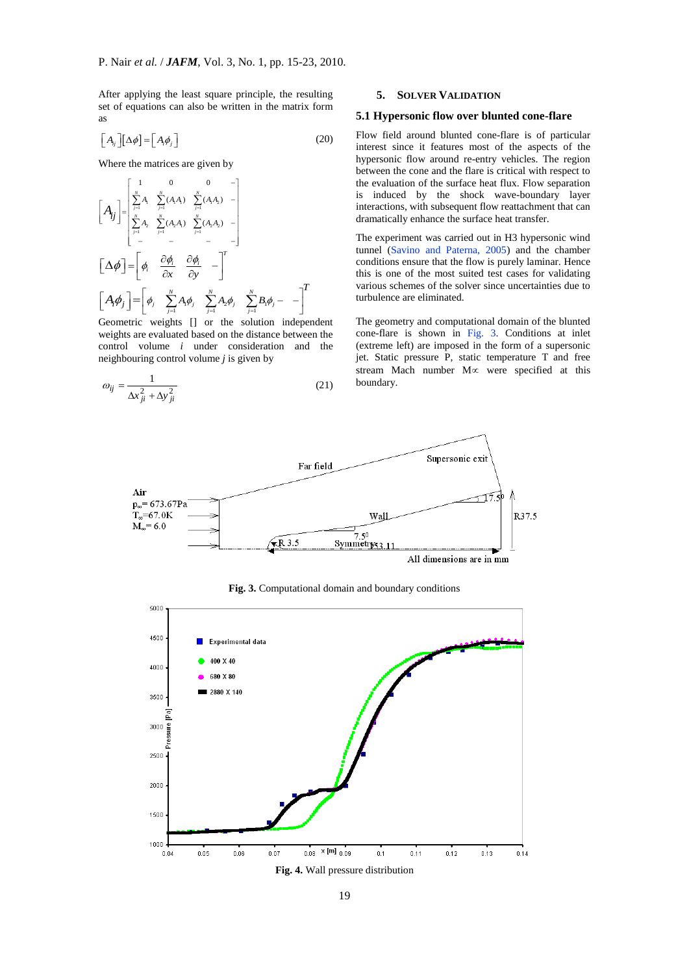After applying the least square principle, the resulting set of equations can also be written in the matrix form as

$$
\left[A_{ij}\right]\left[\Delta\phi\right]=\left[A_{i}\phi_{j}\right]
$$
\n(20)

Where the matrices are given by<br> $\begin{bmatrix} 1 & 0 & 0 \end{bmatrix}$ 

$$
\begin{bmatrix}\nA_{ij}\n\end{bmatrix} =\n\begin{bmatrix}\n\sum_{j=1}^{N} A_{1} & \sum_{j=1}^{N} (A_{1}A_{1}) & \sum_{j=1}^{N} (A_{1}A_{2}) & - \\
\sum_{j=1}^{N} A_{2} & \sum_{j=1}^{N} (A_{2}A_{1}) & \sum_{j=1}^{N} (A_{2}A_{2}) & - \\
- & - & - & -\n\end{bmatrix}
$$
\n
$$
\begin{bmatrix}\n\Delta \phi\n\end{bmatrix} =\n\begin{bmatrix}\n\phi_{1} & \frac{\partial \phi_{1}}{\partial x} & \frac{\partial \phi_{1}}{\partial y} & -\n\end{bmatrix}^{T}
$$
\nGeometric weights [] or the solution independent

weights are evaluated based on the distance between the control volume *i* under consideration and the neighbouring control volume *j* is given by

$$
\omega_{ij} = \frac{1}{\Delta x_{ji}^2 + \Delta y_{ji}^2} \tag{21}
$$

## **5. SOLVER VALIDATION**

#### **5.1 Hypersonic flow over blunted cone-flare**

Flow field around blunted cone-flare is of particular interest since it features most of the aspects of the hypersonic flow around re-entry vehicles. The region between the cone and the flare is critical with respect to the evaluation of the surface heat flux. Flow separation is induced by the shock wave-boundary layer interactions, with subsequent flow reattachment that can dramatically enhance the surface heat transfer.

The experiment was carried out in H3 hypersonic wind tunnel (Savino and Paterna, 2005) and the chamber conditions ensure that the flow is purely laminar. Hence this is one of the most suited test cases for validating various schemes of the solver since uncertainties due to turbulence are eliminated.

The geometry and computational domain of the blunted cone-flare is shown in Fig. 3. Conditions at inlet (extreme left) are imposed in the form of a supersonic jet. Static pressure P, static temperature T and free stream Mach number  $M \propto$  were specified at this boundary.



**Fig. 3.** Computational domain and boundary conditions

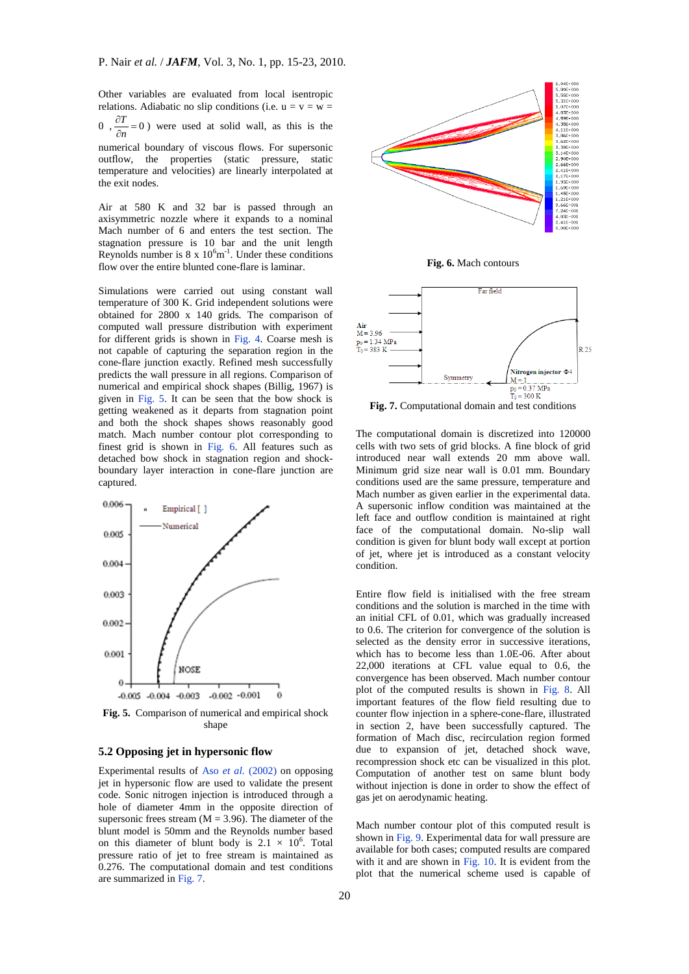Other variables are evaluated from local isentropic relations. Adiabatic no slip conditions (i.e.  $u = v = w =$  $0, \frac{\partial I}{\partial n} = 0$  $\partial$ *n*  $\frac{T}{T} = 0$ ) were used at solid wall, as this is the

numerical boundary of viscous flows. For supersonic outflow, the properties (static pressure, static temperature and velocities) are linearly interpolated at the exit nodes.

Air at 580 K and 32 bar is passed through an axisymmetric nozzle where it expands to a nominal Mach number of 6 and enters the test section. The stagnation pressure is 10 bar and the unit length Reynolds number is  $8 \times 10^6$ m<sup>-1</sup>. Under these conditions flow over the entire blunted cone-flare is laminar.

Simulations were carried out using constant wall temperature of 300 K. Grid independent solutions were obtained for 2800 x 140 grids. The comparison of computed wall pressure distribution with experiment for different grids is shown in Fig. 4. Coarse mesh is not capable of capturing the separation region in the cone-flare junction exactly. Refined mesh successfully predicts the wall pressure in all regions. Comparison of numerical and empirical shock shapes (Billig, 1967) is given in Fig. 5. It can be seen that the bow shock is getting weakened as it departs from stagnation point and both the shock shapes shows reasonably good match. Mach number contour plot corresponding to finest grid is shown in Fig. 6. All features such as detached bow shock in stagnation region and shockboundary layer interaction in cone-flare junction are captured.



**Fig. 5.** Comparison of numerical and empirical shock shape

#### **5.2 Opposing jet in hypersonic flow**

Experimental results of Aso *et al.* (2002) on opposing jet in hypersonic flow are used to validate the present code. Sonic nitrogen injection is introduced through a hole of diameter 4mm in the opposite direction of supersonic frees stream  $(M = 3.96)$ . The diameter of the blunt model is 50mm and the Reynolds number based on this diameter of blunt body is  $2.1 \times 10^6$ . Total pressure ratio of jet to free stream is maintained as 0.276. The computational domain and test conditions are summarized in Fig. 7.



**Fig. 6.** Mach contours



**Fig. 7.** Computational domain and test conditions

The computational domain is discretized into 120000 cells with two sets of grid blocks. A fine block of grid introduced near wall extends 20 mm above wall. Minimum grid size near wall is 0.01 mm. Boundary conditions used are the same pressure, temperature and Mach number as given earlier in the experimental data. A supersonic inflow condition was maintained at the left face and outflow condition is maintained at right face of the computational domain. No-slip wall condition is given for blunt body wall except at portion of jet, where jet is introduced as a constant velocity condition.

Entire flow field is initialised with the free stream conditions and the solution is marched in the time with an initial CFL of 0.01, which was gradually increased to 0.6. The criterion for convergence of the solution is selected as the density error in successive iterations, which has to become less than 1.0E-06. After about 22,000 iterations at CFL value equal to 0.6, the convergence has been observed. Mach number contour plot of the computed results is shown in Fig. 8. All important features of the flow field resulting due to counter flow injection in a sphere-cone-flare, illustrated in section 2, have been successfully captured. The formation of Mach disc, recirculation region formed due to expansion of jet, detached shock wave, recompression shock etc can be visualized in this plot. Computation of another test on same blunt body without injection is done in order to show the effect of gas jet on aerodynamic heating.

Mach number contour plot of this computed result is shown in Fig. 9. Experimental data for wall pressure are available for both cases; computed results are compared with it and are shown in Fig. 10. It is evident from the plot that the numerical scheme used is capable of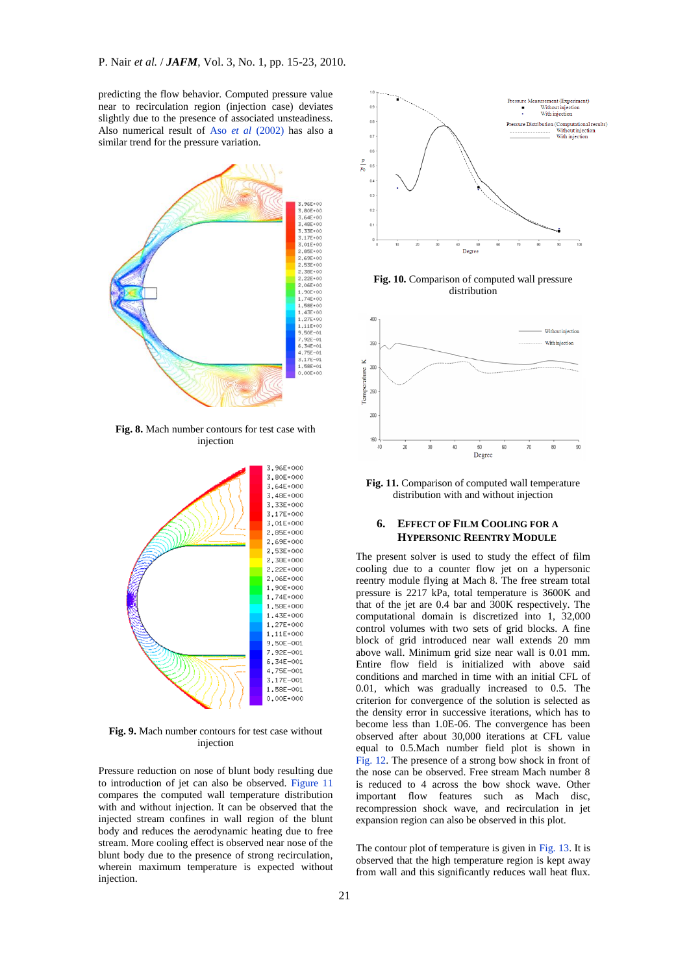predicting the flow behavior. Computed pressure value near to recirculation region (injection case) deviates slightly due to the presence of associated unsteadiness. Also numerical result of Aso *et al* (2002) has also a similar trend for the pressure variation.



**Fig. 8.** Mach number contours for test case with injection



**Fig. 9.** Mach number contours for test case without injection

Pressure reduction on nose of blunt body resulting due to introduction of jet can also be observed. Figure 11 compares the computed wall temperature distribution with and without injection. It can be observed that the injected stream confines in wall region of the blunt body and reduces the aerodynamic heating due to free stream. More cooling effect is observed near nose of the blunt body due to the presence of strong recirculation, wherein maximum temperature is expected without injection.



**Fig. 10.** Comparison of computed wall pressure distribution



**Fig. 11.** Comparison of computed wall temperature distribution with and without injection

#### **6. EFFECT OF FILM COOLING FOR A HYPERSONIC REENTRY MODULE**

The present solver is used to study the effect of film cooling due to a counter flow jet on a hypersonic reentry module flying at Mach 8. The free stream total pressure is 2217 kPa, total temperature is 3600K and that of the jet are 0.4 bar and 300K respectively. The computational domain is discretized into 1, 32,000 control volumes with two sets of grid blocks. A fine block of grid introduced near wall extends 20 mm above wall. Minimum grid size near wall is 0.01 mm. Entire flow field is initialized with above said conditions and marched in time with an initial CFL of 0.01, which was gradually increased to 0.5. The criterion for convergence of the solution is selected as the density error in successive iterations, which has to become less than 1.0E-06. The convergence has been observed after about 30,000 iterations at CFL value equal to 0.5.Mach number field plot is shown in Fig. 12. The presence of a strong bow shock in front of the nose can be observed. Free stream Mach number 8 is reduced to 4 across the bow shock wave. Other important flow features such as Mach disc, recompression shock wave, and recirculation in jet expansion region can also be observed in this plot.

The contour plot of temperature is given in Fig. 13. It is observed that the high temperature region is kept away from wall and this significantly reduces wall heat flux.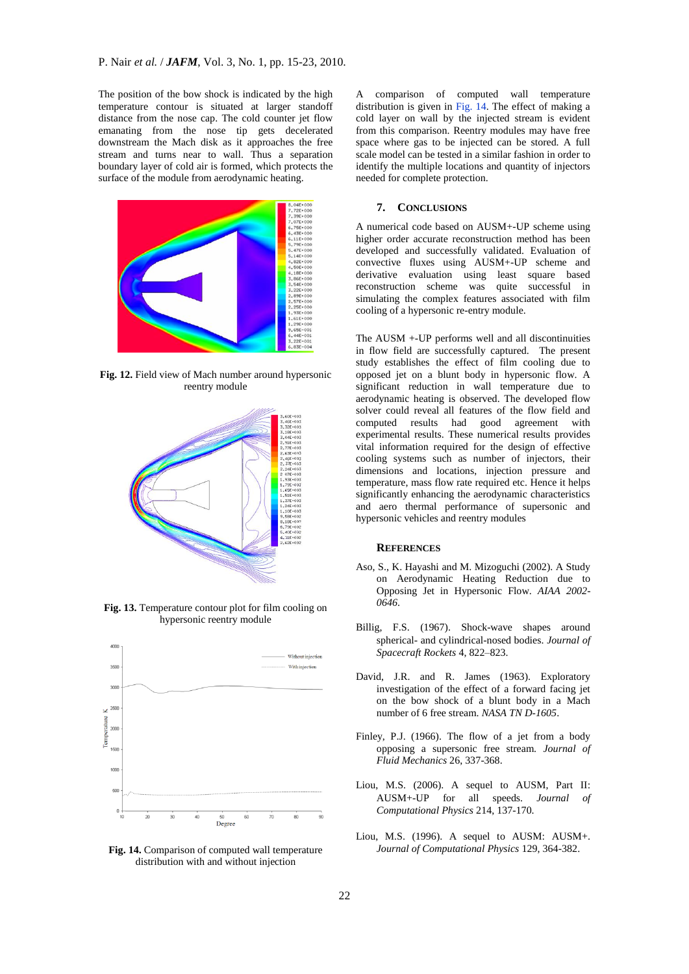The position of the bow shock is indicated by the high temperature contour is situated at larger standoff distance from the nose cap. The cold counter jet flow emanating from the nose tip gets decelerated downstream the Mach disk as it approaches the free stream and turns near to wall. Thus a separation boundary layer of cold air is formed, which protects the surface of the module from aerodynamic heating.



**Fig. 12.** Field view of Mach number around hypersonic reentry module



**Fig. 13.** Temperature contour plot for film cooling on hypersonic reentry module



**Fig. 14.** Comparison of computed wall temperature distribution with and without injection

A comparison of computed wall temperature distribution is given in Fig. 14. The effect of making a cold layer on wall by the injected stream is evident from this comparison. Reentry modules may have free space where gas to be injected can be stored. A full scale model can be tested in a similar fashion in order to identify the multiple locations and quantity of injectors needed for complete protection.

## **7. CONCLUSIONS**

A numerical code based on AUSM+-UP scheme using higher order accurate reconstruction method has been developed and successfully validated. Evaluation of convective fluxes using AUSM+-UP scheme and derivative evaluation using least square based reconstruction scheme was quite successful in simulating the complex features associated with film cooling of a hypersonic re-entry module.

The AUSM +-UP performs well and all discontinuities in flow field are successfully captured. The present study establishes the effect of film cooling due to opposed jet on a blunt body in hypersonic flow. A significant reduction in wall temperature due to aerodynamic heating is observed. The developed flow solver could reveal all features of the flow field and computed results had good agreement with experimental results. These numerical results provides vital information required for the design of effective cooling systems such as number of injectors, their dimensions and locations, injection pressure and temperature, mass flow rate required etc. Hence it helps significantly enhancing the aerodynamic characteristics and aero thermal performance of supersonic and hypersonic vehicles and reentry modules

#### **REFERENCES**

- Aso, S., K. Hayashi and M. Mizoguchi (2002). A Study on Aerodynamic Heating Reduction due to Opposing Jet in Hypersonic Flow. *AIAA 2002- 0646*.
- Billig, F.S. (1967). Shock-wave shapes around spherical- and cylindrical-nosed bodies. *Journal of Spacecraft Rockets* 4, 822–823.
- David, J.R. and R. James (1963). Exploratory investigation of the effect of a forward facing jet on the bow shock of a blunt body in a Mach number of 6 free stream. *NASA TN D-1605*.
- Finley, P.J. (1966). The flow of a jet from a body opposing a supersonic free stream. *Journal of Fluid Mechanics* 26, 337-368.
- Liou, M.S. (2006). A sequel to AUSM, Part II: AUSM+-UP for all speeds. *Journal of Computational Physics* 214, 137-170.
- Liou, M.S. (1996). A sequel to AUSM: AUSM+. *Journal of Computational Physics* 129, 364-382.